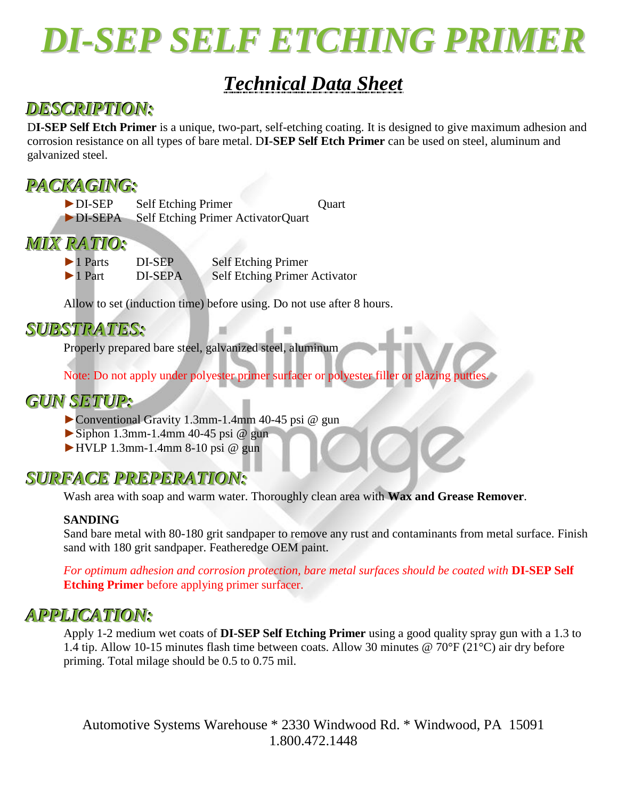

# *Technical Data Sheet*

## *DESCRIPTION:*

D**I-SEP Self Etch Primer** is a unique, two-part, self-etching coating. It is designed to give maximum adhesion and corrosion resistance on all types of bare metal. D**I-SEP Self Etch Primer** can be used on steel, aluminum and galvanized steel.

## *PACKAGING:*

► DI-SEP Self Etching Primer Quart ►DI-SEPA Self Etching Primer ActivatorQuart

# *MIX RATIO:*

DI-SEP Self Etching Primer ►1 Part DI-SEPA Self Etching Primer Activator

Allow to set (induction time) before using. Do not use after 8 hours.

## *SUBSTRATES:*

Properly prepared bare steel, galvanized steel, aluminum

Note: Do not apply under polyester primer surfacer or polyester filler or glazing putties.

## *GUN SETUP:*

- ►Conventional Gravity 1.3mm-1.4mm 40-45 psi @ gun
- $\triangleright$  Siphon 1.3mm-1.4mm 40-45 psi @ gun
- $\blacktriangleright$  HVLP 1.3mm-1.4mm 8-10 psi @ gun

## *SURFACE PREPERATION:*

Wash area with soap and warm water. Thoroughly clean area with **Wax and Grease Remover**.

## **SANDING**

Sand bare metal with 80-180 grit sandpaper to remove any rust and contaminants from metal surface. Finish sand with 180 grit sandpaper. Featheredge OEM paint.

*For optimum adhesion and corrosion protection, bare metal surfaces should be coated with* **DI-SEP Self Etching Primer** before applying primer surfacer.

## *APPLICATION:*

Apply 1-2 medium wet coats of **DI-SEP Self Etching Primer** using a good quality spray gun with a 1.3 to 1.4 tip. Allow 10-15 minutes flash time between coats. Allow 30 minutes @ 70°F (21°C) air dry before priming. Total milage should be 0.5 to 0.75 mil.

Automotive Systems Warehouse \* 2330 Windwood Rd. \* Windwood, PA 15091 1.800.472.1448